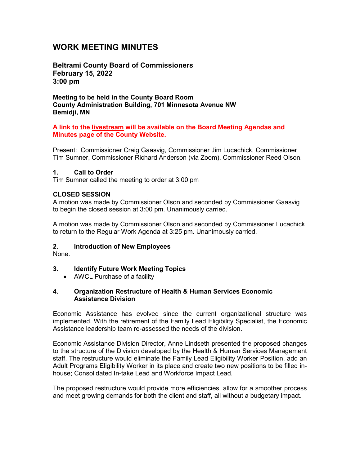# **WORK MEETING MINUTES**

**Beltrami County Board of Commissioners February 15, 2022 3:00 pm**

**Meeting to be held in the County Board Room County Administration Building, 701 Minnesota Avenue NW Bemidji, MN**

#### **A link to the livestream will be available on the Board Meeting Agendas and Minutes page of the County Website.**

Present: Commissioner Craig Gaasvig, Commissioner Jim Lucachick, Commissioner Tim Sumner, Commissioner Richard Anderson (via Zoom), Commissioner Reed Olson.

#### **1. Call to Order**

Tim Sumner called the meeting to order at 3:00 pm

### **CLOSED SESSION**

A motion was made by Commissioner Olson and seconded by Commissioner Gaasvig to begin the closed session at 3:00 pm. Unanimously carried.

A motion was made by Commissioner Olson and seconded by Commissioner Lucachick to return to the Regular Work Agenda at 3:25 pm. Unanimously carried.

### **2. Introduction of New Employees**

None.

### **3. Identify Future Work Meeting Topics**

• AWCL Purchase of a facility

#### **4. Organization Restructure of Health & Human Services Economic Assistance Division**

Economic Assistance has evolved since the current organizational structure was implemented. With the retirement of the Family Lead Eligibility Specialist, the Economic Assistance leadership team re-assessed the needs of the division.

Economic Assistance Division Director, Anne Lindseth presented the proposed changes to the structure of the Division developed by the Health & Human Services Management staff. The restructure would eliminate the Family Lead Eligibility Worker Position, add an Adult Programs Eligibility Worker in its place and create two new positions to be filled inhouse; Consolidated In-take Lead and Workforce Impact Lead.

The proposed restructure would provide more efficiencies, allow for a smoother process and meet growing demands for both the client and staff, all without a budgetary impact.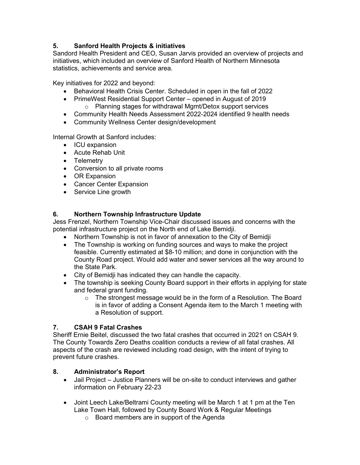# **5. Sanford Health Projects & initiatives**

Sandord Health President and CEO, Susan Jarvis provided an overview of projects and initiatives, which included an overview of Sanford Health of Northern Minnesota statistics, achievements and service area.

Key initiatives for 2022 and beyond:

- Behavioral Health Crisis Center. Scheduled in open in the fall of 2022
- PrimeWest Residential Support Center opened in August of 2019 o Planning stages for withdrawal Mgmt/Detox support services
- Community Health Needs Assessment 2022-2024 identified 9 health needs
- Community Wellness Center design/development

Internal Growth at Sanford includes:

- ICU expansion
- Acute Rehab Unit
- Telemetry
- Conversion to all private rooms
- OR Expansion
- Cancer Center Expansion
- Service Line growth

### **6. Northern Township Infrastructure Update**

Jess Frenzel, Northern Township Vice-Chair discussed issues and concerns with the potential infrastructure project on the North end of Lake Bemidji.

- Northern Township is not in favor of annexation to the City of Bemidii
- The Township is working on funding sources and ways to make the project feasible. Currently estimated at \$8-10 million; and done in conjunction with the County Road project. Would add water and sewer services all the way around to the State Park.
- City of Bemidji has indicated they can handle the capacity.
- The township is seeking County Board support in their efforts in applying for state and federal grant funding.
	- o The strongest message would be in the form of a Resolution. The Board is in favor of adding a Consent Agenda item to the March 1 meeting with a Resolution of support.

### **7. CSAH 9 Fatal Crashes**

Sheriff Ernie Beitel, discussed the two fatal crashes that occurred in 2021 on CSAH 9. The County Towards Zero Deaths coalition conducts a review of all fatal crashes. All aspects of the crash are reviewed including road design, with the intent of trying to prevent future crashes.

### **8. Administrator's Report**

- Jail Project Justice Planners will be on-site to conduct interviews and gather information on February 22-23
- Joint Leech Lake/Beltrami County meeting will be March 1 at 1 pm at the Ten Lake Town Hall, followed by County Board Work & Regular Meetings
	- o Board members are in support of the Agenda